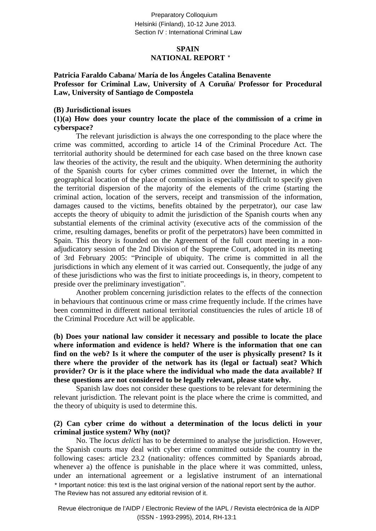Preparatory Colloquium Helsinki (Finland), 10-12 June 2013. Section IV · International Criminal Law

## **SPAIN NATIONAL REPORT** \*

**Patricia Faraldo Cabana/ María de los Ángeles Catalina Benavente Professor for Criminal Law, University of A Coruña/ Professor for Procedural Law, University of Santiago de Compostela**

#### **(B) Jurisdictional issues**

#### **(1)(a) How does your country locate the place of the commission of a crime in cyberspace?**

The relevant jurisdiction is always the one corresponding to the place where the crime was committed, according to article 14 of the Criminal Procedure Act. The territorial authority should be determined for each case based on the three known case law theories of the activity, the result and the ubiquity. When determining the authority of the Spanish courts for cyber crimes committed over the Internet, in which the geographical location of the place of commission is especially difficult to specify given the territorial dispersion of the majority of the elements of the crime (starting the criminal action, location of the servers, receipt and transmission of the information, damages caused to the victims, benefits obtained by the perpetrator), our case law accepts the theory of ubiquity to admit the jurisdiction of the Spanish courts when any substantial elements of the criminal activity (executive acts of the commission of the crime, resulting damages, benefits or profit of the perpetrators) have been committed in Spain. This theory is founded on the Agreement of the full court meeting in a nonadjudicatory session of the 2nd Division of the Supreme Court, adopted in its meeting of 3rd February 2005: "Principle of ubiquity. The crime is committed in all the jurisdictions in which any element of it was carried out. Consequently, the judge of any of these jurisdictions who was the first to initiate proceedings is, in theory, competent to preside over the preliminary investigation".

Another problem concerning jurisdiction relates to the effects of the connection in behaviours that continuous crime or mass crime frequently include. If the crimes have been committed in different national territorial constituencies the rules of article 18 of the Criminal Procedure Act will be applicable.

**(b) Does your national law consider it necessary and possible to locate the place where information and evidence is held? Where is the information that one can find on the web? Is it where the computer of the user is physically present? Is it there where the provider of the network has its (legal or factual) seat? Which provider? Or is it the place where the individual who made the data available? If these questions are not considered to be legally relevant, please state why.**

Spanish law does not consider these questions to be relevant for determining the relevant jurisdiction. The relevant point is the place where the crime is committed, and the theory of ubiquity is used to determine this.

#### **(2) Can cyber crime do without a determination of the locus delicti in your criminal justice system? Why (not)?**

No. The *locus delicti* has to be determined to analyse the jurisdiction. However, the Spanish courts may deal with cyber crime committed outside the country in the following cases: article 23.2 (nationality: offences committed by Spaniards abroad, whenever a) the offence is punishable in the place where it was committed, unless, under an international agreement or a legislative instrument of an international \* Important notice: this text is the last original version of the national report sent by the author. The Review has not assured any editorial revision of it.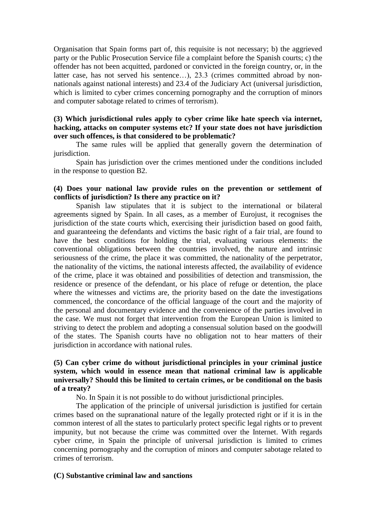Organisation that Spain forms part of, this requisite is not necessary; b) the aggrieved party or the Public Prosecution Service file a complaint before the Spanish courts; c) the offender has not been acquitted, pardoned or convicted in the foreign country, or, in the latter case, has not served his sentence…), 23.3 (crimes committed abroad by nonnationals against national interests) and 23.4 of the Judiciary Act (universal jurisdiction, which is limited to cyber crimes concerning pornography and the corruption of minors and computer sabotage related to crimes of terrorism).

## **(3) Which jurisdictional rules apply to cyber crime like hate speech via internet, hacking, attacks on computer systems etc? If your state does not have jurisdiction over such offences, is that considered to be problematic?**

The same rules will be applied that generally govern the determination of jurisdiction.

Spain has jurisdiction over the crimes mentioned under the conditions included in the response to question B2.

#### **(4) Does your national law provide rules on the prevention or settlement of conflicts of jurisdiction? Is there any practice on it?**

Spanish law stipulates that it is subject to the international or bilateral agreements signed by Spain. In all cases, as a member of Eurojust, it recognises the jurisdiction of the state courts which, exercising their jurisdiction based on good faith, and guaranteeing the defendants and victims the basic right of a fair trial, are found to have the best conditions for holding the trial, evaluating various elements: the conventional obligations between the countries involved, the nature and intrinsic seriousness of the crime, the place it was committed, the nationality of the perpetrator, the nationality of the victims, the national interests affected, the availability of evidence of the crime, place it was obtained and possibilities of detection and transmission, the residence or presence of the defendant, or his place of refuge or detention, the place where the witnesses and victims are, the priority based on the date the investigations commenced, the concordance of the official language of the court and the majority of the personal and documentary evidence and the convenience of the parties involved in the case. We must not forget that intervention from the European Union is limited to striving to detect the problem and adopting a consensual solution based on the goodwill of the states. The Spanish courts have no obligation not to hear matters of their jurisdiction in accordance with national rules.

# **(5) Can cyber crime do without jurisdictional principles in your criminal justice system, which would in essence mean that national criminal law is applicable universally? Should this be limited to certain crimes, or be conditional on the basis of a treaty?**

No. In Spain it is not possible to do without jurisdictional principles.

The application of the principle of universal jurisdiction is justified for certain crimes based on the supranational nature of the legally protected right or if it is in the common interest of all the states to particularly protect specific legal rights or to prevent impunity, but not because the crime was committed over the Internet. With regards cyber crime, in Spain the principle of universal jurisdiction is limited to crimes concerning pornography and the corruption of minors and computer sabotage related to crimes of terrorism.

#### **(C) Substantive criminal law and sanctions**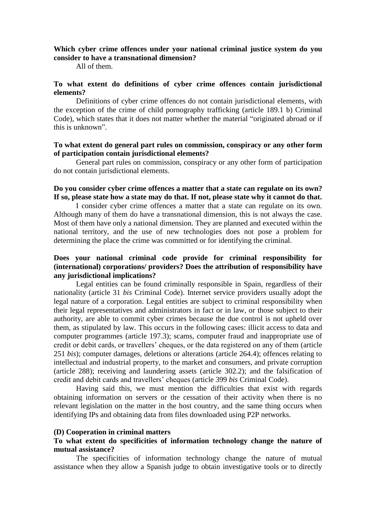### **Which cyber crime offences under your national criminal justice system do you consider to have a transnational dimension?**

All of them.

#### **To what extent do definitions of cyber crime offences contain jurisdictional elements?**

Definitions of cyber crime offences do not contain jurisdictional elements, with the exception of the crime of child pornography trafficking (article 189.1 b) Criminal Code), which states that it does not matter whether the material "originated abroad or if this is unknown".

#### **To what extent do general part rules on commission, conspiracy or any other form of participation contain jurisdictional elements?**

General part rules on commission, conspiracy or any other form of participation do not contain jurisdictional elements.

#### **Do you consider cyber crime offences a matter that a state can regulate on its own? If so, please state how a state may do that. If not, please state why it cannot do that.**

I consider cyber crime offences a matter that a state can regulate on its own. Although many of them do have a transnational dimension, this is not always the case. Most of them have only a national dimension. They are planned and executed within the national territory, and the use of new technologies does not pose a problem for determining the place the crime was committed or for identifying the criminal.

## **Does your national criminal code provide for criminal responsibility for (international) corporations/ providers? Does the attribution of responsibility have any jurisdictional implications?**

Legal entities can be found criminally responsible in Spain, regardless of their nationality (article 31 *bis* Criminal Code). Internet service providers usually adopt the legal nature of a corporation. Legal entities are subject to criminal responsibility when their legal representatives and administrators in fact or in law, or those subject to their authority, are able to commit cyber crimes because the due control is not upheld over them, as stipulated by law. This occurs in the following cases: illicit access to data and computer programmes (article 197.3); scams, computer fraud and inappropriate use of credit or debit cards, or travellers' cheques, or the data registered on any of them (article 251 *bis*); computer damages, deletions or alterations (article 264.4); offences relating to intellectual and industrial property, to the market and consumers, and private corruption (article 288); receiving and laundering assets (article 302.2); and the falsification of credit and debit cards and travellers' cheques (article 399 *bis* Criminal Code).

Having said this, we must mention the difficulties that exist with regards obtaining information on servers or the cessation of their activity when there is no relevant legislation on the matter in the host country, and the same thing occurs when identifying IPs and obtaining data from files downloaded using P2P networks.

#### **(D) Cooperation in criminal matters**

## **To what extent do specificities of information technology change the nature of mutual assistance?**

The specificities of information technology change the nature of mutual assistance when they allow a Spanish judge to obtain investigative tools or to directly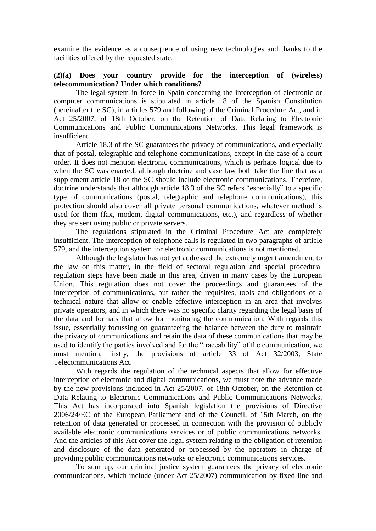examine the evidence as a consequence of using new technologies and thanks to the facilities offered by the requested state.

## **(2)(a) Does your country provide for the interception of (wireless) telecommunication? Under which conditions?**

The legal system in force in Spain concerning the interception of electronic or computer communications is stipulated in article 18 of the Spanish Constitution (hereinafter the SC), in articles 579 and following of the Criminal Procedure Act, and in Act 25/2007, of 18th October, on the Retention of Data Relating to Electronic Communications and Public Communications Networks. This legal framework is insufficient.

Article 18.3 of the SC guarantees the privacy of communications, and especially that of postal, telegraphic and telephone communications, except in the case of a court order. It does not mention electronic communications, which is perhaps logical due to when the SC was enacted, although doctrine and case law both take the line that as a supplement article 18 of the SC should include electronic communications. Therefore, doctrine understands that although article 18.3 of the SC refers "especially" to a specific type of communications (postal, telegraphic and telephone communications), this protection should also cover all private personal communications, whatever method is used for them (fax, modem, digital communications, etc.), and regardless of whether they are sent using public or private servers.

The regulations stipulated in the Criminal Procedure Act are completely insufficient. The interception of telephone calls is regulated in two paragraphs of article 579, and the interception system for electronic communications is not mentioned.

Although the legislator has not yet addressed the extremely urgent amendment to the law on this matter, in the field of sectoral regulation and special procedural regulation steps have been made in this area, driven in many cases by the European Union. This regulation does not cover the proceedings and guarantees of the interception of communications, but rather the requisites, tools and obligations of a technical nature that allow or enable effective interception in an area that involves private operators, and in which there was no specific clarity regarding the legal basis of the data and formats that allow for monitoring the communication. With regards this issue, essentially focussing on guaranteeing the balance between the duty to maintain the privacy of communications and retain the data of these communications that may be used to identify the parties involved and for the "traceability" of the communication, we must mention, firstly, the provisions of article 33 of Act 32/2003, State Telecommunications Act.

With regards the regulation of the technical aspects that allow for effective interception of electronic and digital communications, we must note the advance made by the new provisions included in Act 25/2007, of 18th October, on the Retention of Data Relating to Electronic Communications and Public Communications Networks. This Act has incorporated into Spanish legislation the provisions of Directive 2006/24/EC of the European Parliament and of the Council, of 15th March, on the retention of data generated or processed in connection with the provision of publicly available electronic communications services or of public communications networks. And the articles of this Act cover the legal system relating to the obligation of retention and disclosure of the data generated or processed by the operators in charge of providing public communications networks or electronic communications services.

To sum up, our criminal justice system guarantees the privacy of electronic communications, which include (under Act 25/2007) communication by fixed-line and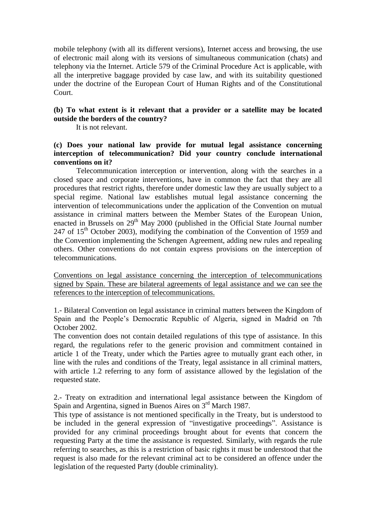mobile telephony (with all its different versions), Internet access and browsing, the use of electronic mail along with its versions of simultaneous communication (chats) and telephony via the Internet. Article 579 of the Criminal Procedure Act is applicable, with all the interpretive baggage provided by case law, and with its suitability questioned under the doctrine of the European Court of Human Rights and of the Constitutional Court.

# **(b) To what extent is it relevant that a provider or a satellite may be located outside the borders of the country?**

It is not relevant.

# **(c) Does your national law provide for mutual legal assistance concerning interception of telecommunication? Did your country conclude international conventions on it?**

Telecommunication interception or intervention, along with the searches in a closed space and corporate interventions, have in common the fact that they are all procedures that restrict rights, therefore under domestic law they are usually subject to a special regime. National law establishes mutual legal assistance concerning the intervention of telecommunications under the application of the Convention on mutual assistance in criminal matters between the Member States of the European Union, enacted in Brussels on  $29<sup>th</sup>$  May 2000 (published in the Official State Journal number 247 of  $15<sup>th</sup>$  October 2003), modifying the combination of the Convention of 1959 and the Convention implementing the Schengen Agreement, adding new rules and repealing others. Other conventions do not contain express provisions on the interception of telecommunications.

Conventions on legal assistance concerning the interception of telecommunications signed by Spain. These are bilateral agreements of legal assistance and we can see the references to the interception of telecommunications.

1.- Bilateral Convention on legal assistance in criminal matters between the Kingdom of Spain and the People's Democratic Republic of Algeria, signed in Madrid on 7th October 2002.

The convention does not contain detailed regulations of this type of assistance. In this regard, the regulations refer to the generic provision and commitment contained in article 1 of the Treaty, under which the Parties agree to mutually grant each other, in line with the rules and conditions of the Treaty, legal assistance in all criminal matters, with article 1.2 referring to any form of assistance allowed by the legislation of the requested state.

2.- Treaty on extradition and international legal assistance between the Kingdom of Spain and Argentina, signed in Buenos Aires on 3<sup>rd</sup> March 1987.

This type of assistance is not mentioned specifically in the Treaty, but is understood to be included in the general expression of "investigative proceedings". Assistance is provided for any criminal proceedings brought about for events that concern the requesting Party at the time the assistance is requested. Similarly, with regards the rule referring to searches, as this is a restriction of basic rights it must be understood that the request is also made for the relevant criminal act to be considered an offence under the legislation of the requested Party (double criminality).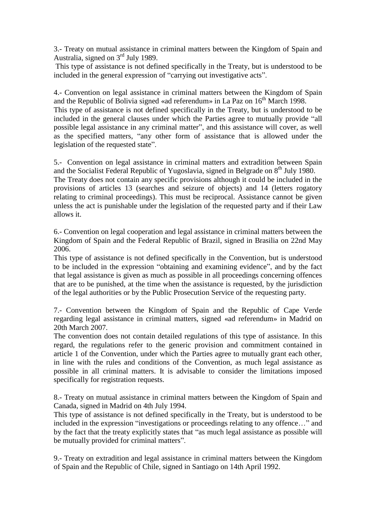3.- Treaty on mutual assistance in criminal matters between the Kingdom of Spain and Australia, signed on  $3<sup>rd</sup>$  July 1989.

This type of assistance is not defined specifically in the Treaty, but is understood to be included in the general expression of "carrying out investigative acts".

4.- Convention on legal assistance in criminal matters between the Kingdom of Spain and the Republic of Bolivia signed «ad referendum» in La Paz on  $16<sup>th</sup>$  March 1998. This type of assistance is not defined specifically in the Treaty, but is understood to be included in the general clauses under which the Parties agree to mutually provide "all possible legal assistance in any criminal matter", and this assistance will cover, as well as the specified matters, "any other form of assistance that is allowed under the legislation of the requested state".

5.- Convention on legal assistance in criminal matters and extradition between Spain and the Socialist Federal Republic of Yugoslavia, signed in Belgrade on  $8<sup>th</sup>$  July 1980.

The Treaty does not contain any specific provisions although it could be included in the provisions of articles 13 (searches and seizure of objects) and 14 (letters rogatory relating to criminal proceedings). This must be reciprocal. Assistance cannot be given unless the act is punishable under the legislation of the requested party and if their Law allows it.

6.- Convention on legal cooperation and legal assistance in criminal matters between the Kingdom of Spain and the Federal Republic of Brazil, signed in Brasilia on 22nd May 2006.

This type of assistance is not defined specifically in the Convention, but is understood to be included in the expression "obtaining and examining evidence", and by the fact that legal assistance is given as much as possible in all proceedings concerning offences that are to be punished, at the time when the assistance is requested, by the jurisdiction of the legal authorities or by the Public Prosecution Service of the requesting party.

7.- Convention between the Kingdom of Spain and the Republic of Cape Verde regarding legal assistance in criminal matters, signed «ad referendum» in Madrid on 20th March 2007.

The convention does not contain detailed regulations of this type of assistance. In this regard, the regulations refer to the generic provision and commitment contained in article 1 of the Convention, under which the Parties agree to mutually grant each other, in line with the rules and conditions of the Convention, as much legal assistance as possible in all criminal matters. It is advisable to consider the limitations imposed specifically for registration requests.

8.- Treaty on mutual assistance in criminal matters between the Kingdom of Spain and Canada, signed in Madrid on 4th July 1994.

This type of assistance is not defined specifically in the Treaty, but is understood to be included in the expression "investigations or proceedings relating to any offence…" and by the fact that the treaty explicitly states that "as much legal assistance as possible will be mutually provided for criminal matters".

9.- Treaty on extradition and legal assistance in criminal matters between the Kingdom of Spain and the Republic of Chile, signed in Santiago on 14th April 1992.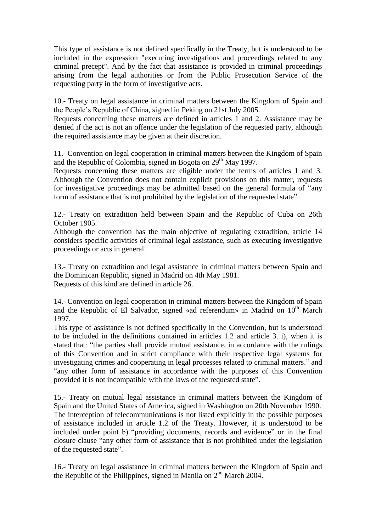This type of assistance is not defined specifically in the Treaty, but is understood to be included in the expression "executing investigations and proceedings related to any criminal precept". And by the fact that assistance is provided in criminal proceedings arising from the legal authorities or from the Public Prosecution Service of the requesting party in the form of investigative acts.

10.- Treaty on legal assistance in criminal matters between the Kingdom of Spain and the People's Republic of China, signed in Peking on 21st July 2005.

Requests concerning these matters are defined in articles 1 and 2. Assistance may be denied if the act is not an offence under the legislation of the requested party, although the required assistance may be given at their discretion.

11.- Convention on legal cooperation in criminal matters between the Kingdom of Spain and the Republic of Colombia, signed in Bogota on  $29<sup>th</sup>$  May 1997.

Requests concerning these matters are eligible under the terms of articles 1 and 3. Although the Convention does not contain explicit provisions on this matter, requests for investigative proceedings may be admitted based on the general formula of "any form of assistance that is not prohibited by the legislation of the requested state".

12.- Treaty on extradition held between Spain and the Republic of Cuba on 26th October 1905.

Although the convention has the main objective of regulating extradition, article 14 considers specific activities of criminal legal assistance, such as executing investigative proceedings or acts in general.

13.- Treaty on extradition and legal assistance in criminal matters between Spain and the Dominican Republic, signed in Madrid on 4th May 1981. Requests of this kind are defined in article 26.

14.- Convention on legal cooperation in criminal matters between the Kingdom of Spain and the Republic of El Salvador, signed «ad referendum» in Madrid on  $10<sup>th</sup>$  March 1997.

This type of assistance is not defined specifically in the Convention, but is understood to be included in the definitions contained in articles 1.2 and article 3. i), when it is stated that: "the parties shall provide mutual assistance, in accordance with the rulings of this Convention and in strict compliance with their respective legal systems for investigating crimes and cooperating in legal processes related to criminal matters." and "any other form of assistance in accordance with the purposes of this Convention provided it is not incompatible with the laws of the requested state".

15.- Treaty on mutual legal assistance in criminal matters between the Kingdom of Spain and the United States of America, signed in Washington on 20th November 1990. The interception of telecommunications is not listed explicitly in the possible purposes of assistance included in article 1.2 of the Treaty. However, it is understood to be included under point b) "providing documents, records and evidence" or in the final closure clause "any other form of assistance that is not prohibited under the legislation of the requested state".

16.- Treaty on legal assistance in criminal matters between the Kingdom of Spain and the Republic of the Philippines, signed in Manila on  $2<sup>nd</sup>$  March 2004.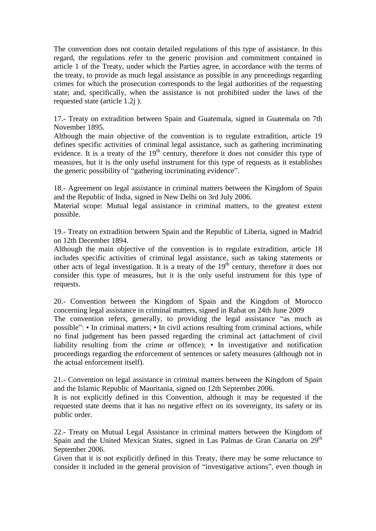The convention does not contain detailed regulations of this type of assistance. In this regard, the regulations refer to the generic provision and commitment contained in article 1 of the Treaty, under which the Parties agree, in accordance with the terms of the treaty, to provide as much legal assistance as possible in any proceedings regarding crimes for which the prosecution corresponds to the legal authorities of the requesting state; and, specifically, when the assistance is not prohibited under the laws of the requested state (article 1.2j ).

17.- Treaty on extradition between Spain and Guatemala, signed in Guatemala on 7th November 1895.

Although the main objective of the convention is to regulate extradition, article 19 defines specific activities of criminal legal assistance, such as gathering incriminating evidence. It is a treaty of the  $19<sup>th</sup>$  century, therefore it does not consider this type of measures, but it is the only useful instrument for this type of requests as it establishes the generic possibility of "gathering incriminating evidence".

18.- Agreement on legal assistance in criminal matters between the Kingdom of Spain and the Republic of India, signed in New Delhi on 3rd July 2006.

Material scope: Mutual legal assistance in criminal matters, to the greatest extent possible.

19.- Treaty on extradition between Spain and the Republic of Liberia, signed in Madrid on 12th December 1894.

Although the main objective of the convention is to regulate extradition, article 18 includes specific activities of criminal legal assistance, such as taking statements or other acts of legal investigation. It is a treaty of the  $19<sup>th</sup>$  century, therefore it does not consider this type of measures, but it is the only useful instrument for this type of requests.

20.- Convention between the Kingdom of Spain and the Kingdom of Morocco concerning legal assistance in criminal matters, signed in Rabat on 24th June 2009 The convention refers, generally, to providing the legal assistance "as much as possible": • In criminal matters; • In civil actions resulting from criminal actions, while no final judgement has been passed regarding the criminal act (attachment of civil liability resulting from the crime or offence); • In investigative and notification

proceedings regarding the enforcement of sentences or safety measures (although not in the actual enforcement itself).

21.- Convention on legal assistance in criminal matters between the Kingdom of Spain and the Islamic Republic of Mauritania, signed on 12th September 2006.

It is not explicitly defined in this Convention, although it may be requested if the requested state deems that it has no negative effect on its sovereignty, its safety or its public order.

22.- Treaty on Mutual Legal Assistance in criminal matters between the Kingdom of Spain and the United Mexican States, signed in Las Palmas de Gran Canaria on 29<sup>th</sup> September 2006.

Given that it is not explicitly defined in this Treaty, there may be some reluctance to consider it included in the general provision of "investigative actions", even though in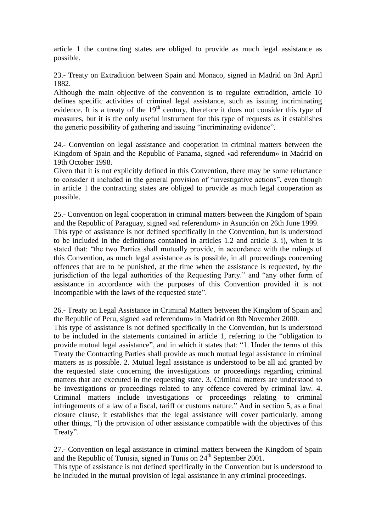article 1 the contracting states are obliged to provide as much legal assistance as possible.

23.- Treaty on Extradition between Spain and Monaco, signed in Madrid on 3rd April 1882.

Although the main objective of the convention is to regulate extradition, article 10 defines specific activities of criminal legal assistance, such as issuing incriminating evidence. It is a treaty of the  $19<sup>th</sup>$  century, therefore it does not consider this type of measures, but it is the only useful instrument for this type of requests as it establishes the generic possibility of gathering and issuing "incriminating evidence".

24.- Convention on legal assistance and cooperation in criminal matters between the Kingdom of Spain and the Republic of Panama, signed «ad referendum» in Madrid on 19th October 1998.

Given that it is not explicitly defined in this Convention, there may be some reluctance to consider it included in the general provision of "investigative actions", even though in article 1 the contracting states are obliged to provide as much legal cooperation as possible.

25.- Convention on legal cooperation in criminal matters between the Kingdom of Spain and the Republic of Paraguay, signed «ad referendum» in Asunción on 26th June 1999. This type of assistance is not defined specifically in the Convention, but is understood to be included in the definitions contained in articles 1.2 and article 3. i), when it is stated that: "the two Parties shall mutually provide, in accordance with the rulings of this Convention, as much legal assistance as is possible, in all proceedings concerning offences that are to be punished, at the time when the assistance is requested, by the jurisdiction of the legal authorities of the Requesting Party." and "any other form of assistance in accordance with the purposes of this Convention provided it is not incompatible with the laws of the requested state".

26.- Treaty on Legal Assistance in Criminal Matters between the Kingdom of Spain and the Republic of Peru, signed «ad referendum» in Madrid on 8th November 2000.

This type of assistance is not defined specifically in the Convention, but is understood to be included in the statements contained in article 1, referring to the "obligation to provide mutual legal assistance", and in which it states that: "1. Under the terms of this Treaty the Contracting Parties shall provide as much mutual legal assistance in criminal matters as is possible. 2. Mutual legal assistance is understood to be all aid granted by the requested state concerning the investigations or proceedings regarding criminal matters that are executed in the requesting state. 3. Criminal matters are understood to be investigations or proceedings related to any offence covered by criminal law. 4. Criminal matters include investigations or proceedings relating to criminal infringements of a law of a fiscal, tariff or customs nature." And in section 5, as a final closure clause, it establishes that the legal assistance will cover particularly, among other things, "l) the provision of other assistance compatible with the objectives of this Treaty".

27.- Convention on legal assistance in criminal matters between the Kingdom of Spain and the Republic of Tunisia, signed in Tunis on  $24<sup>th</sup>$  September 2001.

This type of assistance is not defined specifically in the Convention but is understood to be included in the mutual provision of legal assistance in any criminal proceedings.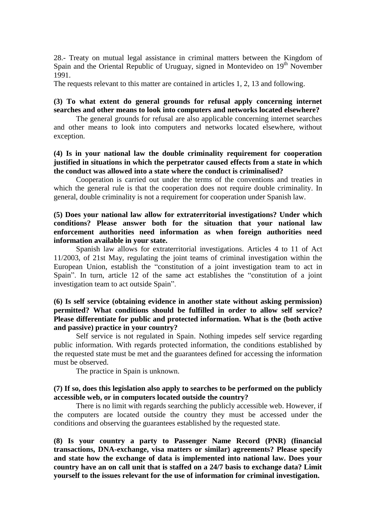28.- Treaty on mutual legal assistance in criminal matters between the Kingdom of Spain and the Oriental Republic of Uruguay, signed in Montevideo on 19<sup>th</sup> November 1991.

The requests relevant to this matter are contained in articles 1, 2, 13 and following.

# **(3) To what extent do general grounds for refusal apply concerning internet searches and other means to look into computers and networks located elsewhere?**

The general grounds for refusal are also applicable concerning internet searches and other means to look into computers and networks located elsewhere, without exception.

## **(4) Is in your national law the double criminality requirement for cooperation justified in situations in which the perpetrator caused effects from a state in which the conduct was allowed into a state where the conduct is criminalised?**

Cooperation is carried out under the terms of the conventions and treaties in which the general rule is that the cooperation does not require double criminality. In general, double criminality is not a requirement for cooperation under Spanish law.

## **(5) Does your national law allow for extraterritorial investigations? Under which conditions? Please answer both for the situation that your national law enforcement authorities need information as when foreign authorities need information available in your state.**

Spanish law allows for extraterritorial investigations. Articles 4 to 11 of Act 11/2003, of 21st May, regulating the joint teams of criminal investigation within the European Union, establish the "constitution of a joint investigation team to act in Spain". In turn, article 12 of the same act establishes the "constitution of a joint investigation team to act outside Spain".

## **(6) Is self service (obtaining evidence in another state without asking permission) permitted? What conditions should be fulfilled in order to allow self service? Please differentiate for public and protected information. What is the (both active and passive) practice in your country?**

Self service is not regulated in Spain. Nothing impedes self service regarding public information. With regards protected information, the conditions established by the requested state must be met and the guarantees defined for accessing the information must be observed.

The practice in Spain is unknown.

#### **(7) If so, does this legislation also apply to searches to be performed on the publicly accessible web, or in computers located outside the country?**

There is no limit with regards searching the publicly accessible web. However, if the computers are located outside the country they must be accessed under the conditions and observing the guarantees established by the requested state.

**(8) Is your country a party to Passenger Name Record (PNR) (financial transactions, DNA-exchange, visa matters or similar) agreements? Please specify and state how the exchange of data is implemented into national law. Does your country have an on call unit that is staffed on a 24/7 basis to exchange data? Limit yourself to the issues relevant for the use of information for criminal investigation.**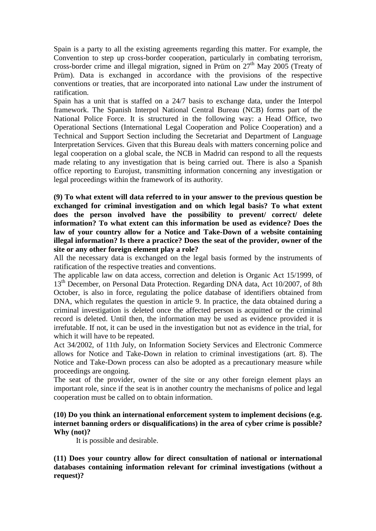Spain is a party to all the existing agreements regarding this matter. For example, the Convention to step up cross-border cooperation, particularly in combating terrorism, cross-border crime and illegal migration, signed in Prüm on  $27<sup>th</sup>$  May 2005 (Treaty of Prüm). Data is exchanged in accordance with the provisions of the respective conventions or treaties, that are incorporated into national Law under the instrument of ratification.

Spain has a unit that is staffed on a 24/7 basis to exchange data, under the Interpol framework. The Spanish Interpol National Central Bureau (NCB) forms part of the National Police Force. It is structured in the following way: a Head Office, two Operational Sections (International Legal Cooperation and Police Cooperation) and a Technical and Support Section including the Secretariat and Department of Language Interpretation Services. Given that this Bureau deals with matters concerning police and legal cooperation on a global scale, the NCB in Madrid can respond to all the requests made relating to any investigation that is being carried out. There is also a Spanish office reporting to Eurojust, transmitting information concerning any investigation or legal proceedings within the framework of its authority.

**(9) To what extent will data referred to in your answer to the previous question be exchanged for criminal investigation and on which legal basis? To what extent does the person involved have the possibility to prevent/ correct/ delete information? To what extent can this information be used as evidence? Does the law of your country allow for a Notice and Take-Down of a website containing illegal information? Is there a practice? Does the seat of the provider, owner of the site or any other foreign element play a role?**

All the necessary data is exchanged on the legal basis formed by the instruments of ratification of the respective treaties and conventions.

The applicable law on data access, correction and deletion is Organic Act 15/1999, of 13<sup>th</sup> December, on Personal Data Protection. Regarding DNA data, Act 10/2007, of 8th October, is also in force, regulating the police database of identifiers obtained from DNA, which regulates the question in article 9. In practice, the data obtained during a criminal investigation is deleted once the affected person is acquitted or the criminal record is deleted. Until then, the information may be used as evidence provided it is irrefutable. If not, it can be used in the investigation but not as evidence in the trial, for which it will have to be repeated.

Act 34/2002, of 11th July, on Information Society Services and Electronic Commerce allows for Notice and Take-Down in relation to criminal investigations (art. 8). The Notice and Take-Down process can also be adopted as a precautionary measure while proceedings are ongoing.

The seat of the provider, owner of the site or any other foreign element plays an important role, since if the seat is in another country the mechanisms of police and legal cooperation must be called on to obtain information.

## **(10) Do you think an international enforcement system to implement decisions (e.g. internet banning orders or disqualifications) in the area of cyber crime is possible? Why (not)?**

It is possible and desirable.

**(11) Does your country allow for direct consultation of national or international databases containing information relevant for criminal investigations (without a request)?**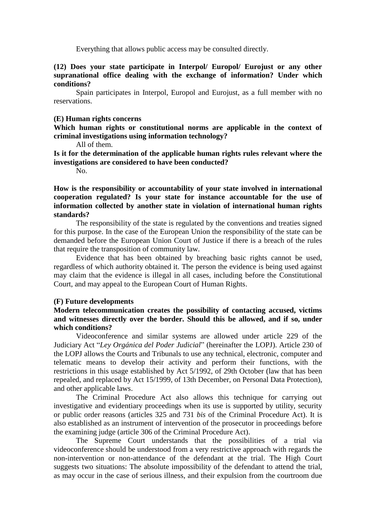Everything that allows public access may be consulted directly.

#### **(12) Does your state participate in Interpol/ Europol/ Eurojust or any other supranational office dealing with the exchange of information? Under which conditions?**

Spain participates in Interpol, Europol and Eurojust, as a full member with no reservations.

#### **(E) Human rights concerns**

**Which human rights or constitutional norms are applicable in the context of criminal investigations using information technology?** 

All of them.

**Is it for the determination of the applicable human rights rules relevant where the investigations are considered to have been conducted?**

No.

**How is the responsibility or accountability of your state involved in international cooperation regulated? Is your state for instance accountable for the use of information collected by another state in violation of international human rights standards?**

The responsibility of the state is regulated by the conventions and treaties signed for this purpose. In the case of the European Union the responsibility of the state can be demanded before the European Union Court of Justice if there is a breach of the rules that require the transposition of community law.

Evidence that has been obtained by breaching basic rights cannot be used, regardless of which authority obtained it. The person the evidence is being used against may claim that the evidence is illegal in all cases, including before the Constitutional Court, and may appeal to the European Court of Human Rights.

#### **(F) Future developments**

# **Modern telecommunication creates the possibility of contacting accused, victims and witnesses directly over the border. Should this be allowed, and if so, under which conditions?**

Videoconference and similar systems are allowed under article 229 of the Judiciary Act "*Ley Orgánica del Poder Judicial*" (hereinafter the LOPJ). Article 230 of the LOPJ allows the Courts and Tribunals to use any technical, electronic, computer and telematic means to develop their activity and perform their functions, with the restrictions in this usage established by Act 5/1992, of 29th October (law that has been repealed, and replaced by Act 15/1999, of 13th December, on Personal Data Protection), and other applicable laws.

The Criminal Procedure Act also allows this technique for carrying out investigative and evidentiary proceedings when its use is supported by utility, security or public order reasons (articles 325 and 731 *bis* of the Criminal Procedure Act). It is also established as an instrument of intervention of the prosecutor in proceedings before the examining judge (article 306 of the Criminal Procedure Act).

The Supreme Court understands that the possibilities of a trial via videoconference should be understood from a very restrictive approach with regards the non-intervention or non-attendance of the defendant at the trial. The High Court suggests two situations: The absolute impossibility of the defendant to attend the trial, as may occur in the case of serious illness, and their expulsion from the courtroom due